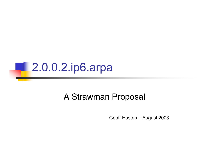

#### A Strawman Proposal

Geoff Huston – August 2003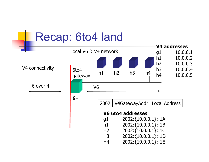### Recap: 6to4 land

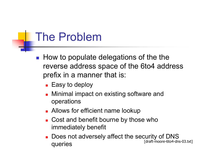### The Problem

- **How to populate delegations of the the** reverse address space of the 6to4 address prefix in a manner that is:
	- Easy to deploy
	- П Minimal impact on existing software and operations
	- **Allows for efficient name lookup**
	- Cost and benefit bourne by those who immediately benefit
	- Does not adversely affect the security of DNS queries [draft-moore-6to4-dns-03.txt]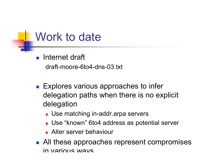#### Work to date

**Internet draft** draft-moore-6to4-dns-03.txt

- Explores various approaches to infer delegation paths when there is no explicit delegation
	- Use matching in-addr.arpa servers
	- Use "known" 6to4 address as potential server
	- **Alter server behaviour**
- All these approaches represent compromises in various ways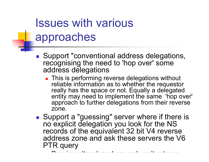# Issues with various approaches

- Support "conventional address delegations, recognising the need to 'hop over' some address delegations
	- **This is performing reverse delegations without** reliable information as to whether the requestor really has the space or not. Equally a delegated entity may need to implement the same 'hop over' approach to further delegations from their reverse zone.
- Support a "guessing" server where if there is no explicit delegation you look for the NS records of the equivalent 32 bit V4 reverse address zone and ask these servers the V6 PTR query

Requires altered resolvers and won't not map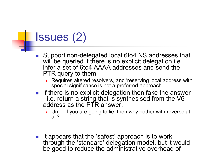### Issues (2)

- $\overline{\phantom{a}}$ ■ Support non-delegated local 6to4 NS addresses that will be queried if there is no explicit delegation i.e. infer a set of 6to4 AAAA addresses and send the PTR query to them
	- **Requires altered resolvers, and 'reserving local address with** special significance is not a preferred approach
- **If there is no explicit delegation then fake the answer**  i.e. return a string that is synthesised from the V6 address as the PTR answer.
	- Um if you are going to lie, then why bother with reverse at all?
- It appears that the 'safest' approach is to work through the 'standard' delegation model, but it would be good to reduce the administrative overhead of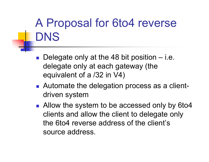# A Proposal for 6to4 reverse DNS

- Delegate only at the 48 bit position i.e. delegate only at each gateway (the equivalent of a /32 in V4)
- Automate the delegation process as a clientdriven system
- Allow the system to be accessed only by 6to4 clients and allow the client to delegate only the 6to4 reverse address of the client's source address.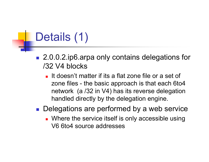# Details (1)

- 2.0.0.2.ip6.arpa only contains delegations for /32 V4 blocks
	- It doesn't matter if its a flat zone file or a set of zone files - the basic approach is that each 6to4 network (a /32 in V4) has its reverse delegation handled directly by the delegation engine.
- **Delegations are performed by a web service** 
	- **Number 11 Service itself is only accessible using** V6 6to4 source addresses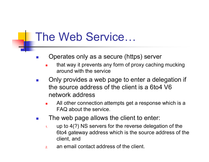### The Web Service…

- $\sim$  Operates only as a secure (https) server
	- П that way it prevents any form of proxy caching mucking around with the service
- $\overline{\phantom{a}}$  Only provides a web page to enter a delegation if the source address of the client is a 6to4 V6 network address
	- П All other connection attempts get a response which is a FAQ about the service.
- $\overline{\phantom{a}}$  The web page allows the client to enter:
	- 1. up to 4(?) NS servers for the reverse delegation of the 6to4 gateway address which is the source address of the client, and
	- 2.an email contact address of the client.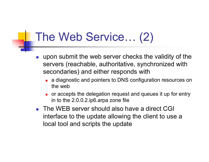### The Web Service… (2)

- $\overline{\phantom{a}}$  upon submit the web server checks the validity of the servers (reachable, authoritative, synchronized with secondaries) and either responds with
	- П a diagnostic and pointers to DNS configuration resources on the web
	- П or accepts the delegation request and queues it up for entry in to the 2.0.0.2.ip6.arpa zone file
- The WEB server should also have a direct CGI interface to the update allowing the client to use a local tool and scripts the update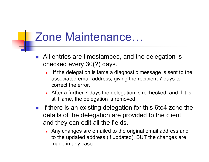### Zone Maintenance…

- **All entries are timestamped, and the delegation is** checked every 30(?) days.
	- u If the delegation is lame a diagnostic message is sent to the associated email address, giving the recipient 7 days to correct the error.
	- After a further 7 days the delegation is rechecked, and if it is still lame, the delegation is removed
- **If there is an existing delegation for this 6to4 zone the** details of the delegation are provided to the client, and they can edit all the fields.
	- П Any changes are emailed to the original email address and to the updated address (if updated). BUT the changes are made in any case.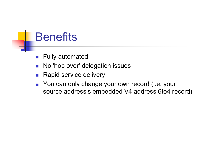### **Benefits**

- Fully automated
- No 'hop over' delegation issues
- $\overline{\phantom{a}}$ Rapid service delivery
- **You can only change your own record (i.e. your** source address's embedded V4 address 6to4 record)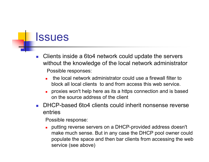#### Issues

- P. Clients inside a 6to4 network could update the servers without the knowledge of the local network administrator Possible responses:
	- П the local network administrator could use a firewall filter to block all local clients to and from access this web service.
	- **proxies won't help here as its a https connection and is based** on the source address of the client
- DHCP-based 6to4 clients could inherit nonsense reverse entries

Possible response:

П putting reverse servers on a DHCP-provided address doesn't make much sense. But in any case the DHCP pool owner could populate the space and then bar clients from accessing the web service (see above)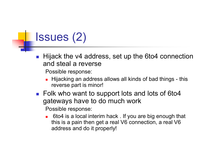## Issues (2)

<u>ra</u> Hijack the v4 address, set up the 6to4 connection and steal a reverse

Possible response:

- П Hijacking an address allows all kinds of bad things - this reverse part is minor!
- Folk who want to support lots and lots of 6to4 gateways have to do much work

Possible response:

П 6to4 is a local interim hack . If you are big enough that this is a pain then get a real V6 connection, a real V6 address and do it properly!